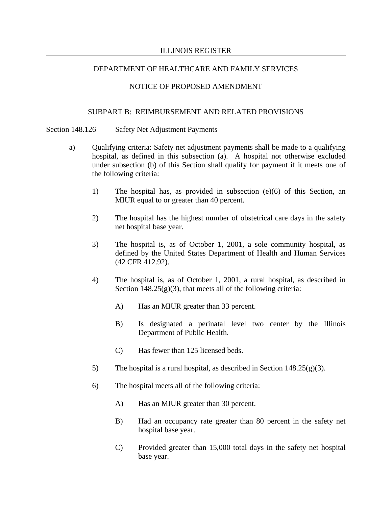## NOTICE OF PROPOSED AMENDMENT

## SUBPART B: REIMBURSEMENT AND RELATED PROVISIONS

Section 148.126 Safety Net Adjustment Payments

- a) Qualifying criteria: Safety net adjustment payments shall be made to a qualifying hospital, as defined in this subsection (a). A hospital not otherwise excluded under subsection (b) of this Section shall qualify for payment if it meets one of the following criteria:
	- 1) The hospital has, as provided in subsection (e)(6) of this Section, an MIUR equal to or greater than 40 percent.
	- 2) The hospital has the highest number of obstetrical care days in the safety net hospital base year.
	- 3) The hospital is, as of October 1, 2001, a sole community hospital, as defined by the United States Department of Health and Human Services (42 CFR 412.92).
	- 4) The hospital is, as of October 1, 2001, a rural hospital, as described in Section  $148.25(g)(3)$ , that meets all of the following criteria:
		- A) Has an MIUR greater than 33 percent.
		- B) Is designated a perinatal level two center by the Illinois Department of Public Health.
		- C) Has fewer than 125 licensed beds.
	- 5) The hospital is a rural hospital, as described in Section 148.25 $(g)(3)$ .
	- 6) The hospital meets all of the following criteria:
		- A) Has an MIUR greater than 30 percent.
		- B) Had an occupancy rate greater than 80 percent in the safety net hospital base year.
		- C) Provided greater than 15,000 total days in the safety net hospital base year.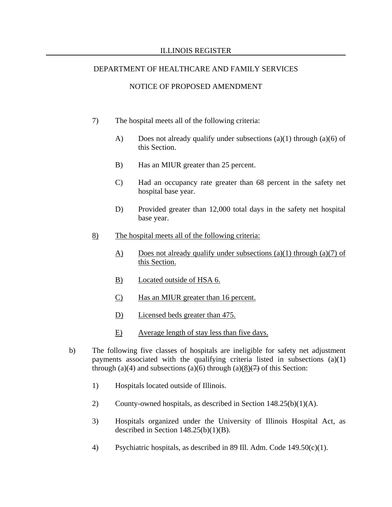- 7) The hospital meets all of the following criteria:
	- A) Does not already qualify under subsections (a)(1) through (a)(6) of this Section.
	- B) Has an MIUR greater than 25 percent.
	- C) Had an occupancy rate greater than 68 percent in the safety net hospital base year.
	- D) Provided greater than 12,000 total days in the safety net hospital base year.
- 8) The hospital meets all of the following criteria:
	- A) Does not already qualify under subsections (a)(1) through (a)(7) of this Section.
	- B) Located outside of HSA 6.
	- C) Has an MIUR greater than 16 percent.
	- D) Licensed beds greater than 475.
	- E) Average length of stay less than five days.
- b) The following five classes of hospitals are ineligible for safety net adjustment payments associated with the qualifying criteria listed in subsections (a)(1) through (a)(4) and subsections (a)(6) through (a) $\frac{8}{(7)}$  of this Section:
	- 1) Hospitals located outside of Illinois.
	- 2) County-owned hospitals, as described in Section 148.25(b)(1)(A).
	- 3) Hospitals organized under the University of Illinois Hospital Act, as described in Section  $148.25(b)(1)(B)$ .
	- 4) Psychiatric hospitals, as described in 89 Ill. Adm. Code 149.50(c)(1).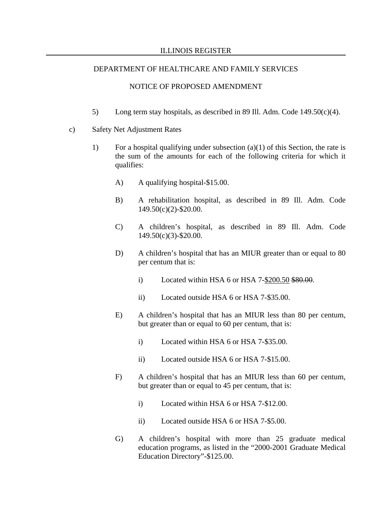- 5) Long term stay hospitals, as described in 89 Ill. Adm. Code 149.50 $(c)(4)$ .
- c) Safety Net Adjustment Rates
	- 1) For a hospital qualifying under subsection (a)(1) of this Section, the rate is the sum of the amounts for each of the following criteria for which it qualifies:
		- A) A qualifying hospital-\$15.00.
		- B) A rehabilitation hospital, as described in 89 Ill. Adm. Code 149.50(c)(2)-\$20.00.
		- C) A children's hospital, as described in 89 Ill. Adm. Code 149.50(c)(3)-\$20.00.
		- D) A children's hospital that has an MIUR greater than or equal to 80 per centum that is:
			- i) Located within HSA 6 or HSA  $7-\frac{200.50 \text{ }480.00}{200.50 \text{ }400.000}$ .
			- ii) Located outside HSA 6 or HSA 7-\$35.00.
		- E) A children's hospital that has an MIUR less than 80 per centum, but greater than or equal to 60 per centum, that is:
			- i) Located within HSA 6 or HSA 7-\$35.00.
			- ii) Located outside HSA 6 or HSA 7-\$15.00.
		- F) A children's hospital that has an MIUR less than 60 per centum, but greater than or equal to 45 per centum, that is:
			- i) Located within HSA 6 or HSA 7-\$12.00.
			- ii) Located outside HSA 6 or HSA 7-\$5.00.
		- G) A children's hospital with more than 25 graduate medical education programs, as listed in the "2000-2001 Graduate Medical Education Directory"-\$125.00.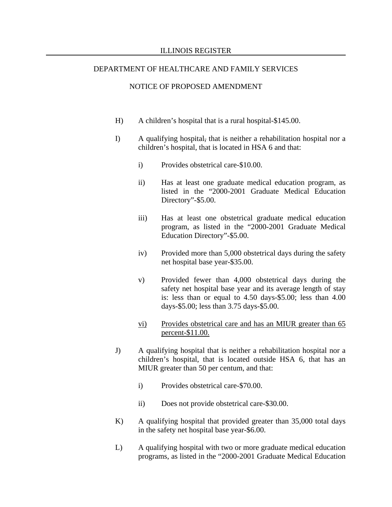- H) A children's hospital that is a rural hospital-\$145.00.
- I) A qualifying hospital, that is neither a rehabilitation hospital nor a children's hospital, that is located in HSA 6 and that:
	- i) Provides obstetrical care-\$10.00.
	- ii) Has at least one graduate medical education program, as listed in the "2000-2001 Graduate Medical Education Directory"-\$5.00.
	- iii) Has at least one obstetrical graduate medical education program, as listed in the "2000-2001 Graduate Medical Education Directory"-\$5.00.
	- iv) Provided more than 5,000 obstetrical days during the safety net hospital base year-\$35.00.
	- v) Provided fewer than 4,000 obstetrical days during the safety net hospital base year and its average length of stay is: less than or equal to 4.50 days-\$5.00; less than 4.00 days-\$5.00; less than 3.75 days-\$5.00.
	- vi) Provides obstetrical care and has an MIUR greater than 65 percent-\$11.00.
- J) A qualifying hospital that is neither a rehabilitation hospital nor a children's hospital, that is located outside HSA 6, that has an MIUR greater than 50 per centum, and that:
	- i) Provides obstetrical care-\$70.00.
	- ii) Does not provide obstetrical care-\$30.00.
- K) A qualifying hospital that provided greater than 35,000 total days in the safety net hospital base year-\$6.00.
- L) A qualifying hospital with two or more graduate medical education programs, as listed in the "2000-2001 Graduate Medical Education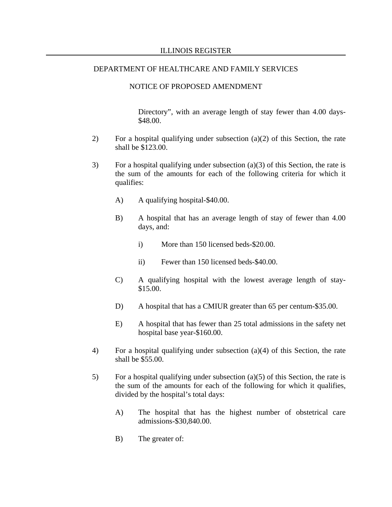#### NOTICE OF PROPOSED AMENDMENT

Directory", with an average length of stay fewer than 4.00 days- \$48.00.

- 2) For a hospital qualifying under subsection (a)(2) of this Section, the rate shall be \$123.00.
- 3) For a hospital qualifying under subsection (a)(3) of this Section, the rate is the sum of the amounts for each of the following criteria for which it qualifies:
	- A) A qualifying hospital-\$40.00.
	- B) A hospital that has an average length of stay of fewer than 4.00 days, and:
		- i) More than 150 licensed beds-\$20.00.
		- ii) Fewer than 150 licensed beds-\$40.00.
	- C) A qualifying hospital with the lowest average length of stay- \$15.00.
	- D) A hospital that has a CMIUR greater than 65 per centum-\$35.00.
	- E) A hospital that has fewer than 25 total admissions in the safety net hospital base year-\$160.00.
- 4) For a hospital qualifying under subsection (a)(4) of this Section, the rate shall be \$55.00.
- 5) For a hospital qualifying under subsection (a)(5) of this Section, the rate is the sum of the amounts for each of the following for which it qualifies, divided by the hospital's total days:
	- A) The hospital that has the highest number of obstetrical care admissions-\$30,840.00.
	- B) The greater of: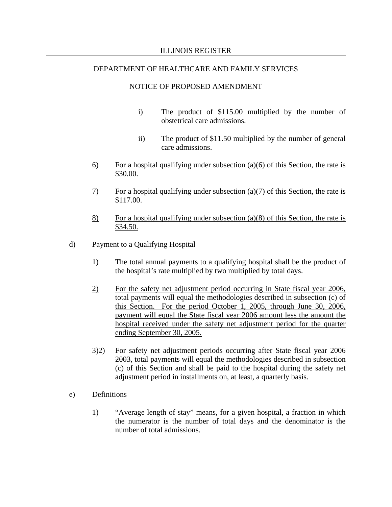- i) The product of \$115.00 multiplied by the number of obstetrical care admissions.
- ii) The product of \$11.50 multiplied by the number of general care admissions.
- 6) For a hospital qualifying under subsection (a)(6) of this Section, the rate is \$30.00.
- 7) For a hospital qualifying under subsection (a)(7) of this Section, the rate is \$117.00.
- 8) For a hospital qualifying under subsection (a)(8) of this Section, the rate is \$34.50.
- d) Payment to a Qualifying Hospital
	- 1) The total annual payments to a qualifying hospital shall be the product of the hospital's rate multiplied by two multiplied by total days.
	- 2) For the safety net adjustment period occurring in State fiscal year 2006, total payments will equal the methodologies described in subsection (c) of this Section. For the period October 1, 2005, through June 30, 2006, payment will equal the State fiscal year 2006 amount less the amount the hospital received under the safety net adjustment period for the quarter ending September 30, 2005.
	- 3)2) For safety net adjustment periods occurring after State fiscal year 2006 2003, total payments will equal the methodologies described in subsection (c) of this Section and shall be paid to the hospital during the safety net adjustment period in installments on, at least, a quarterly basis.
- e) Definitions
	- 1) "Average length of stay" means, for a given hospital, a fraction in which the numerator is the number of total days and the denominator is the number of total admissions.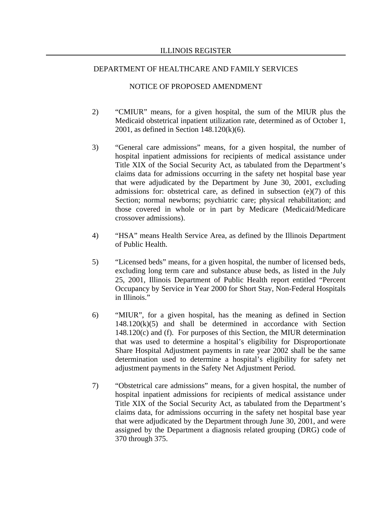- 2) "CMIUR" means, for a given hospital, the sum of the MIUR plus the Medicaid obstetrical inpatient utilization rate, determined as of October 1, 2001, as defined in Section 148.120(k)(6).
- 3) "General care admissions" means, for a given hospital, the number of hospital inpatient admissions for recipients of medical assistance under Title XIX of the Social Security Act, as tabulated from the Department's claims data for admissions occurring in the safety net hospital base year that were adjudicated by the Department by June 30, 2001, excluding admissions for: obstetrical care, as defined in subsection (e)(7) of this Section; normal newborns; psychiatric care; physical rehabilitation; and those covered in whole or in part by Medicare (Medicaid/Medicare crossover admissions).
- 4) "HSA" means Health Service Area, as defined by the Illinois Department of Public Health.
- 5) "Licensed beds" means, for a given hospital, the number of licensed beds, excluding long term care and substance abuse beds, as listed in the July 25, 2001, Illinois Department of Public Health report entitled "Percent Occupancy by Service in Year 2000 for Short Stay, Non-Federal Hospitals in Illinois."
- 6) "MIUR", for a given hospital, has the meaning as defined in Section  $148.120(k)(5)$  and shall be determined in accordance with Section 148.120(c) and (f). For purposes of this Section, the MIUR determination that was used to determine a hospital's eligibility for Disproportionate Share Hospital Adjustment payments in rate year 2002 shall be the same determination used to determine a hospital's eligibility for safety net adjustment payments in the Safety Net Adjustment Period.
- 7) "Obstetrical care admissions" means, for a given hospital, the number of hospital inpatient admissions for recipients of medical assistance under Title XIX of the Social Security Act, as tabulated from the Department's claims data, for admissions occurring in the safety net hospital base year that were adjudicated by the Department through June 30, 2001, and were assigned by the Department a diagnosis related grouping (DRG) code of 370 through 375.